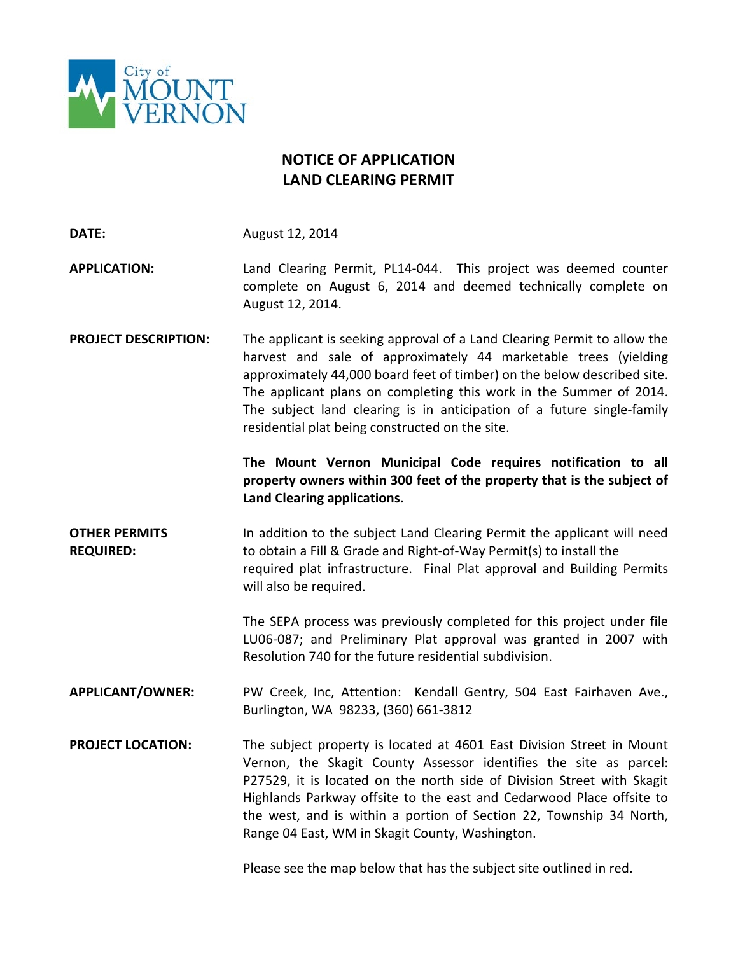

## **NOTICE OF APPLICATION LAND CLEARING PERMIT**

**DATE:** August 12, 2014

**APPLICATION:** Land Clearing Permit, PL14-044. This project was deemed counter complete on August 6, 2014 and deemed technically complete on August 12, 2014.

**PROJECT DESCRIPTION:** The applicant is seeking approval of a Land Clearing Permit to allow the harvest and sale of approximately 44 marketable trees (yielding approximately 44,000 board feet of timber) on the below described site. The applicant plans on completing this work in the Summer of 2014. The subject land clearing is in anticipation of a future single-family residential plat being constructed on the site.

> **The Mount Vernon Municipal Code requires notification to all property owners within 300 feet of the property that is the subject of Land Clearing applications.**

**OTHER PERMITS In addition to the subject Land Clearing Permit the applicant will need REQUIRED:** to obtain a Fill & Grade and Right-of-Way Permit(s) to install the required plat infrastructure. Final Plat approval and Building Permits will also be required.

> The SEPA process was previously completed for this project under file LU06-087; and Preliminary Plat approval was granted in 2007 with Resolution 740 for the future residential subdivision.

**APPLICANT/OWNER:** PW Creek, Inc, Attention: Kendall Gentry, 504 East Fairhaven Ave., Burlington, WA 98233, (360) 661-3812

**PROJECT LOCATION:** The subject property is located at 4601 East Division Street in Mount Vernon, the Skagit County Assessor identifies the site as parcel: P27529, it is located on the north side of Division Street with Skagit Highlands Parkway offsite to the east and Cedarwood Place offsite to the west, and is within a portion of Section 22, Township 34 North, Range 04 East, WM in Skagit County, Washington.

Please see the map below that has the subject site outlined in red.